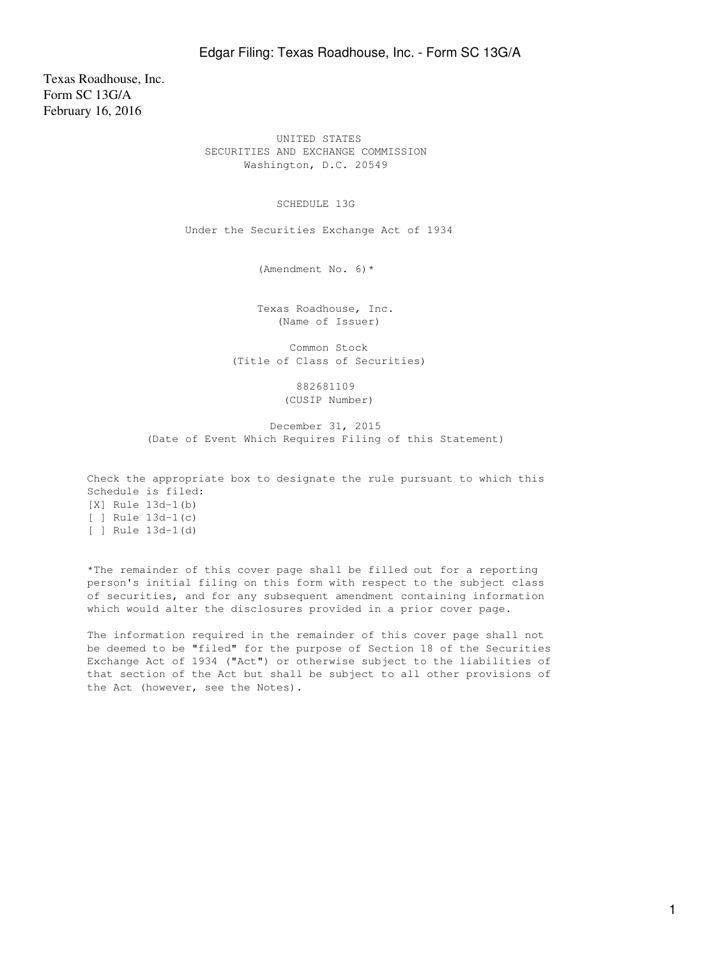Texas Roadhouse, Inc. Form SC 13G/A February 16, 2016

> UNITED STATES SECURITIES AND EXCHANGE COMMISSION Washington, D.C. 20549

> > SCHEDULE 13G

Under the Securities Exchange Act of 1934

(Amendment No. 6)\*

 Texas Roadhouse, Inc. (Name of Issuer)

 Common Stock (Title of Class of Securities)

> 882681109 (CUSIP Number)

 December 31, 2015 (Date of Event Which Requires Filing of this Statement)

Check the appropriate box to designate the rule pursuant to which this Schedule is filed: [X] Rule 13d-1(b) [ ] Rule 13d-1(c) [ ] Rule 13d-1(d)

\*The remainder of this cover page shall be filled out for a reporting person's initial filing on this form with respect to the subject class of securities, and for any subsequent amendment containing information which would alter the disclosures provided in a prior cover page.

The information required in the remainder of this cover page shall not be deemed to be "filed" for the purpose of Section 18 of the Securities Exchange Act of 1934 ("Act") or otherwise subject to the liabilities of that section of the Act but shall be subject to all other provisions of the Act (however, see the Notes).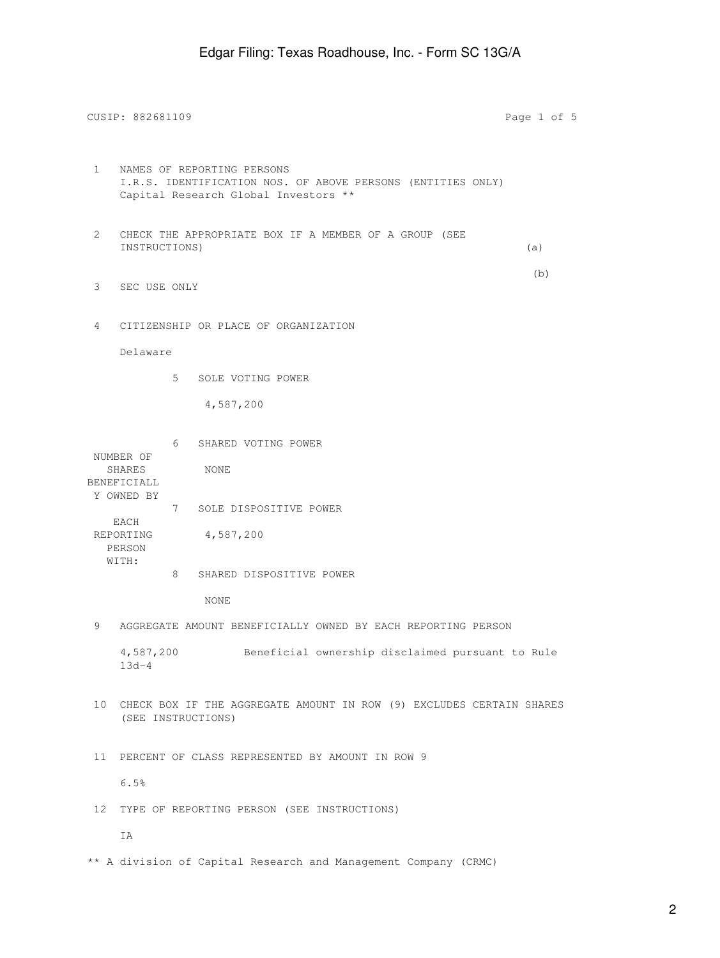CUSIP: 882681109 Page 1 of 5 1 NAMES OF REPORTING PERSONS I.R.S. IDENTIFICATION NOS. OF ABOVE PERSONS (ENTITIES ONLY) Capital Research Global Investors \*\* 2 CHECK THE APPROPRIATE BOX IF A MEMBER OF A GROUP (SEE INSTRUCTIONS) (a) (b) 3 SEC USE ONLY 4 CITIZENSHIP OR PLACE OF ORGANIZATION Delaware 5 SOLE VOTING POWER 4,587,200 6 SHARED VOTING POWER NUMBER OF SHARES NONE BENEFICIALL Y OWNED BY 7 SOLE DISPOSITIVE POWER EACH REPORTING 4,587,200 PERSON WITH: 8 SHARED DISPOSITIVE POWER NONE 9 AGGREGATE AMOUNT BENEFICIALLY OWNED BY EACH REPORTING PERSON 4,587,200 Beneficial ownership disclaimed pursuant to Rule 13d-4 10 CHECK BOX IF THE AGGREGATE AMOUNT IN ROW (9) EXCLUDES CERTAIN SHARES (SEE INSTRUCTIONS) 11 PERCENT OF CLASS REPRESENTED BY AMOUNT IN ROW 9 6.5% 12 TYPE OF REPORTING PERSON (SEE INSTRUCTIONS) IA

\*\* A division of Capital Research and Management Company (CRMC)

2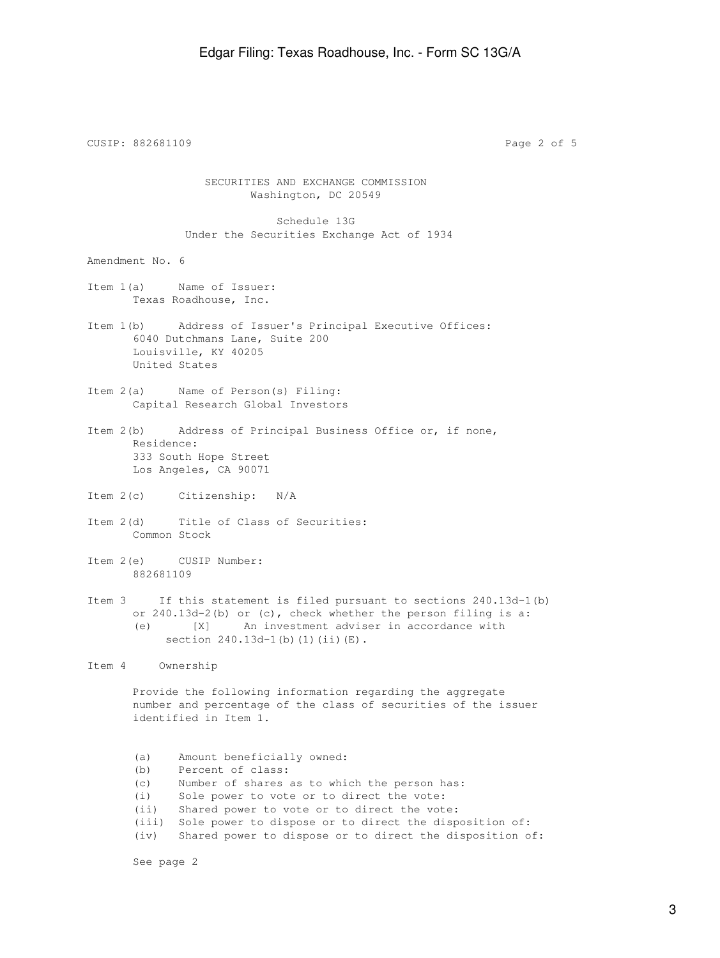CUSIP: 882681109 Page 2 of 5 SECURITIES AND EXCHANGE COMMISSION Washington, DC 20549 Schedule 13G Under the Securities Exchange Act of 1934 Amendment No. 6 Item 1(a) Name of Issuer: Texas Roadhouse, Inc. Item 1(b) Address of Issuer's Principal Executive Offices: 6040 Dutchmans Lane, Suite 200 Louisville, KY 40205 United States Item 2(a) Name of Person(s) Filing: Capital Research Global Investors Item 2(b) Address of Principal Business Office or, if none, Residence: 333 South Hope Street Los Angeles, CA 90071 Item 2(c) Citizenship: N/A Item 2(d) Title of Class of Securities: Common Stock Item 2(e) CUSIP Number: 882681109 Item 3 If this statement is filed pursuant to sections 240.13d-1(b) or 240.13d-2(b) or (c), check whether the person filing is a: (e) [X] An investment adviser in accordance with section 240.13d-1(b)(1)(ii)(E). Item 4 Ownership Provide the following information regarding the aggregate number and percentage of the class of securities of the issuer identified in Item 1. (a) Amount beneficially owned: (b) Percent of class: (c) Number of shares as to which the person has: (i) Sole power to vote or to direct the vote: (ii) Shared power to vote or to direct the vote: (iii) Sole power to dispose or to direct the disposition of:

(iv) Shared power to dispose or to direct the disposition of:

See page 2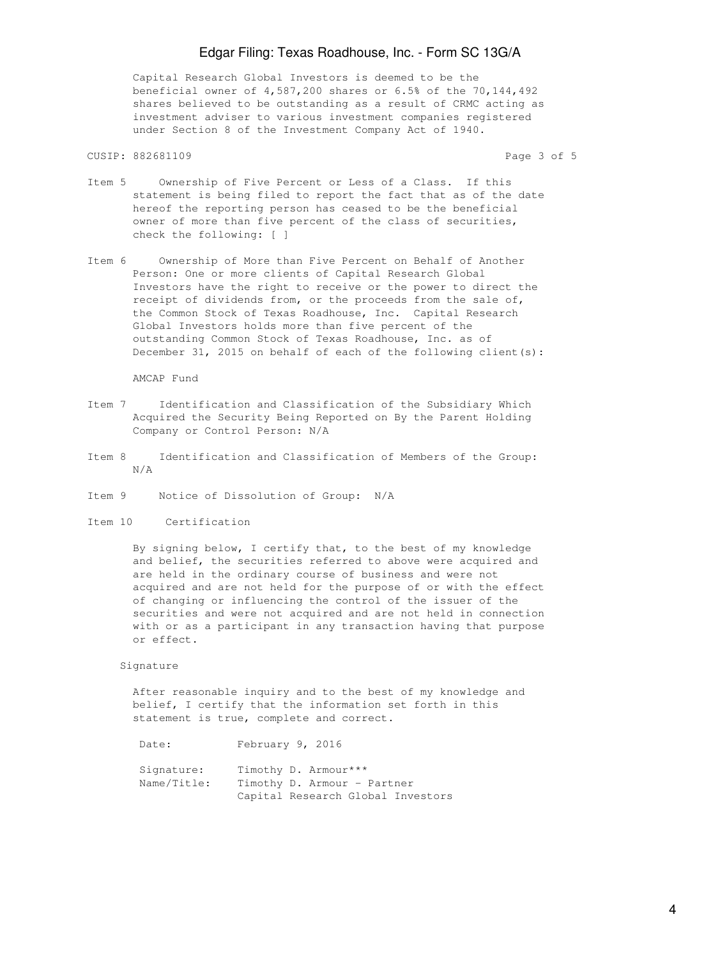## Edgar Filing: Texas Roadhouse, Inc. - Form SC 13G/A

 Capital Research Global Investors is deemed to be the beneficial owner of 4,587,200 shares or 6.5% of the 70,144,492 shares believed to be outstanding as a result of CRMC acting as investment adviser to various investment companies registered under Section 8 of the Investment Company Act of 1940.

## CUSIP: 882681109 Page 3 of 5

- Item 5 Ownership of Five Percent or Less of a Class. If this statement is being filed to report the fact that as of the date hereof the reporting person has ceased to be the beneficial owner of more than five percent of the class of securities, check the following: [ ]
- Item 6 Ownership of More than Five Percent on Behalf of Another Person: One or more clients of Capital Research Global Investors have the right to receive or the power to direct the receipt of dividends from, or the proceeds from the sale of, the Common Stock of Texas Roadhouse, Inc. Capital Research Global Investors holds more than five percent of the outstanding Common Stock of Texas Roadhouse, Inc. as of December 31, 2015 on behalf of each of the following client(s):

AMCAP Fund

- Item 7 Identification and Classification of the Subsidiary Which Acquired the Security Being Reported on By the Parent Holding Company or Control Person: N/A
- Item 8 Identification and Classification of Members of the Group: N/A
- Item 9 Notice of Dissolution of Group: N/A
- Item 10 Certification

 By signing below, I certify that, to the best of my knowledge and belief, the securities referred to above were acquired and are held in the ordinary course of business and were not acquired and are not held for the purpose of or with the effect of changing or influencing the control of the issuer of the securities and were not acquired and are not held in connection with or as a participant in any transaction having that purpose or effect.

## Signature

 After reasonable inquiry and to the best of my knowledge and belief, I certify that the information set forth in this statement is true, complete and correct.

Date: February 9, 2016 Signature: Timothy D. Armour\*\*\* Name/Title: Timothy D. Armour - Partner Capital Research Global Investors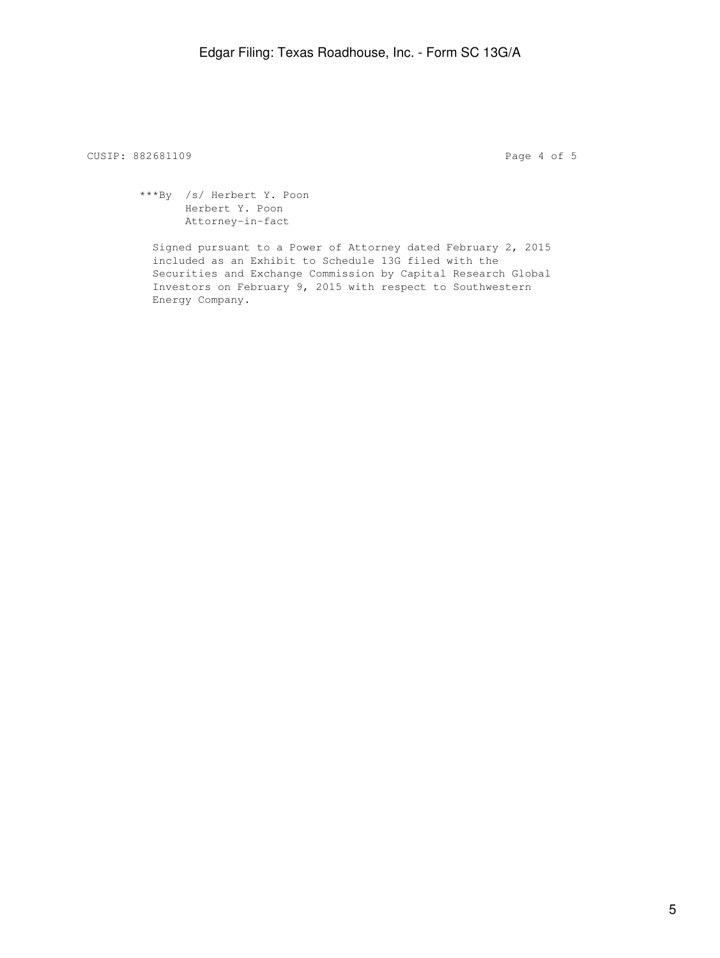CUSIP: 882681109 **Page 4 of 5** 

 \*\*\*By /s/ Herbert Y. Poon Herbert Y. Poon Attorney-in-fact

 Signed pursuant to a Power of Attorney dated February 2, 2015 included as an Exhibit to Schedule 13G filed with the Securities and Exchange Commission by Capital Research Global Investors on February 9, 2015 with respect to Southwestern Energy Company.